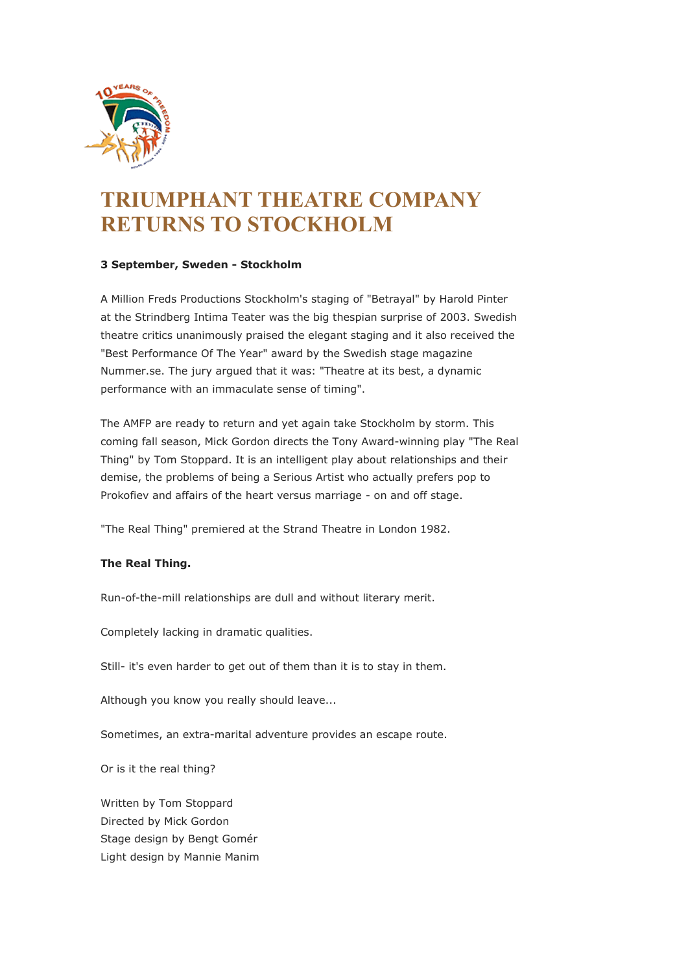

## **TRIUMPHANT THEATRE COMPANY RETURNS TO STOCKHOLM**

## **3 September, Sweden - Stockholm**

A Million Freds Productions Stockholm's staging of "Betrayal" by Harold Pinter at the Strindberg Intima Teater was the big thespian surprise of 2003. Swedish theatre critics unanimously praised the elegant staging and it also received the "Best Performance Of The Year" award by the Swedish stage magazine Nummer.se. The jury argued that it was: "Theatre at its best, a dynamic performance with an immaculate sense of timing".

The AMFP are ready to return and yet again take Stockholm by storm. This coming fall season, Mick Gordon directs the Tony Award-winning play "The Real Thing" by Tom Stoppard. It is an intelligent play about relationships and their demise, the problems of being a Serious Artist who actually prefers pop to Prokofiev and affairs of the heart versus marriage - on and off stage.

"The Real Thing" premiered at the Strand Theatre in London 1982.

## **The Real Thing.**

Run-of-the-mill relationships are dull and without literary merit.

Completely lacking in dramatic qualities.

Still- it's even harder to get out of them than it is to stay in them.

Although you know you really should leave...

Sometimes, an extra-marital adventure provides an escape route.

Or is it the real thing?

Written by Tom Stoppard Directed by Mick Gordon Stage design by Bengt Gomér Light design by Mannie Manim